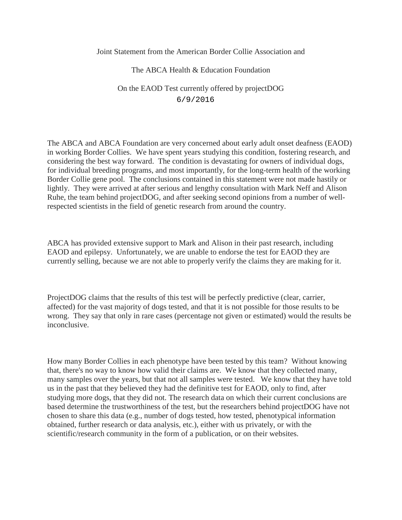Joint Statement from the American Border Collie Association and

## The ABCA Health & Education Foundation On the EAOD Test currently offered by projectDOG 6/9/2016

The ABCA and ABCA Foundation are very concerned about early adult onset deafness (EAOD) in working Border Collies. We have spent years studying this condition, fostering research, and considering the best way forward. The condition is devastating for owners of individual dogs, for individual breeding programs, and most importantly, for the long-term health of the working Border Collie gene pool. The conclusions contained in this statement were not made hastily or lightly. They were arrived at after serious and lengthy consultation with Mark Neff and Alison Ruhe, the team behind projectDOG, and after seeking second opinions from a number of wellrespected scientists in the field of genetic research from around the country.

ABCA has provided extensive support to Mark and Alison in their past research, including EAOD and epilepsy. Unfortunately, we are unable to endorse the test for EAOD they are currently selling, because we are not able to properly verify the claims they are making for it.

ProjectDOG claims that the results of this test will be perfectly predictive (clear, carrier, affected) for the vast majority of dogs tested, and that it is not possible for those results to be wrong. They say that only in rare cases (percentage not given or estimated) would the results be inconclusive.

How many Border Collies in each phenotype have been tested by this team? Without knowing that, there's no way to know how valid their claims are. We know that they collected many, many samples over the years, but that not all samples were tested. We know that they have told us in the past that they believed they had the definitive test for EAOD, only to find, after studying more dogs, that they did not. The research data on which their current conclusions are based determine the trustworthiness of the test, but the researchers behind projectDOG have not chosen to share this data (e.g., number of dogs tested, how tested, phenotypical information obtained, further research or data analysis, etc.), either with us privately, or with the scientific/research community in the form of a publication, or on their websites.